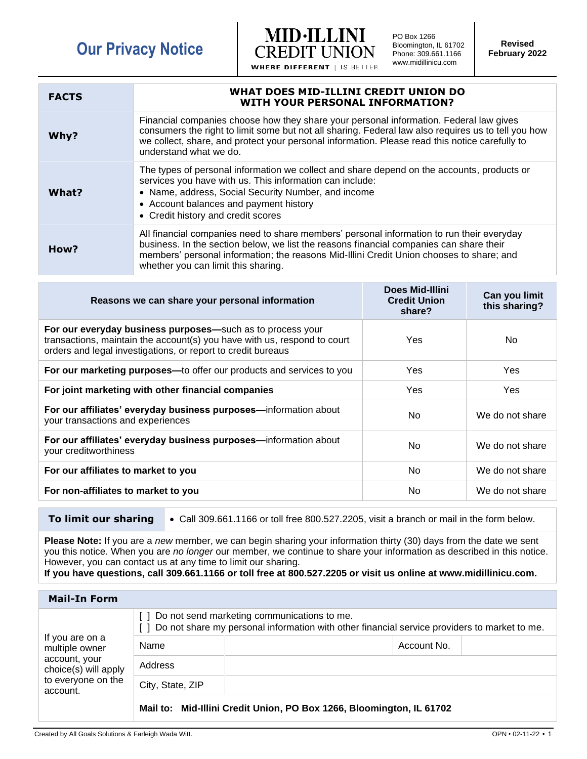## **Our Privacy Notice**



PO Box 1266 Bloomington, IL 61702 Phone: 309.661.1166 www.midillinicu.com

**Revised February 2022**

| <b>FACTS</b> | WHAT DOES MID-ILLINI CREDIT UNION DO<br><b>WITH YOUR PERSONAL INFORMATION?</b>                                                                                                                                                                                                                                            |
|--------------|---------------------------------------------------------------------------------------------------------------------------------------------------------------------------------------------------------------------------------------------------------------------------------------------------------------------------|
| Why?         | Financial companies choose how they share your personal information. Federal law gives<br>consumers the right to limit some but not all sharing. Federal law also requires us to tell you how<br>we collect, share, and protect your personal information. Please read this notice carefully to<br>understand what we do. |
| What?        | The types of personal information we collect and share depend on the accounts, products or<br>services you have with us. This information can include:<br>• Name, address, Social Security Number, and income<br>• Account balances and payment history<br>• Credit history and credit scores                             |
| How?         | All financial companies need to share members' personal information to run their everyday<br>business. In the section below, we list the reasons financial companies can share their<br>members' personal information; the reasons Mid-Illini Credit Union chooses to share; and<br>whether you can limit this sharing.   |

| Reasons we can share your personal information                                                                                                                                                         | <b>Does Mid-Illini</b><br><b>Credit Union</b><br>share? | Can you limit<br>this sharing? |
|--------------------------------------------------------------------------------------------------------------------------------------------------------------------------------------------------------|---------------------------------------------------------|--------------------------------|
| For our everyday business purposes-such as to process your<br>transactions, maintain the account(s) you have with us, respond to court<br>orders and legal investigations, or report to credit bureaus | Yes                                                     | No.                            |
| For our marketing purposes—to offer our products and services to you                                                                                                                                   | <b>Yes</b>                                              | Yes                            |
| For joint marketing with other financial companies                                                                                                                                                     | Yes.                                                    | Yes                            |
| For our affiliates' everyday business purposes-information about<br>your transactions and experiences                                                                                                  | No                                                      | We do not share                |
| For our affiliates' everyday business purposes-information about<br>your creditworthiness                                                                                                              | No                                                      | We do not share                |
| For our affiliates to market to you                                                                                                                                                                    | No                                                      | We do not share                |
| For non-affiliates to market to you                                                                                                                                                                    | No                                                      | We do not share                |

**To limit our sharing** • Call 309.661.1166 or toll free 800.527.2205, visit a branch or mail in the form below.

**Please Note:** If you are a *new* member, we can begin sharing your information thirty (30) days from the date we sent you this notice. When you are *no longer* our member, we continue to share your information as described in this notice. However, you can contact us at any time to limit our sharing.

**If you have questions, call 309.661.1166 or toll free at 800.527.2205 or visit us online at www.midillinicu.com.**

| <b>Mail-In Form</b>                                                                                          |                                                                                                                                             |                                                                      |             |  |
|--------------------------------------------------------------------------------------------------------------|---------------------------------------------------------------------------------------------------------------------------------------------|----------------------------------------------------------------------|-------------|--|
| If you are on a<br>multiple owner<br>account, your<br>choice(s) will apply<br>to everyone on the<br>account. | Do not send marketing communications to me.<br>Do not share my personal information with other financial service providers to market to me. |                                                                      |             |  |
|                                                                                                              | Name                                                                                                                                        |                                                                      | Account No. |  |
|                                                                                                              | Address                                                                                                                                     |                                                                      |             |  |
|                                                                                                              | City, State, ZIP                                                                                                                            |                                                                      |             |  |
|                                                                                                              |                                                                                                                                             | Mail to: Mid-Illini Credit Union, PO Box 1266, Bloomington, IL 61702 |             |  |